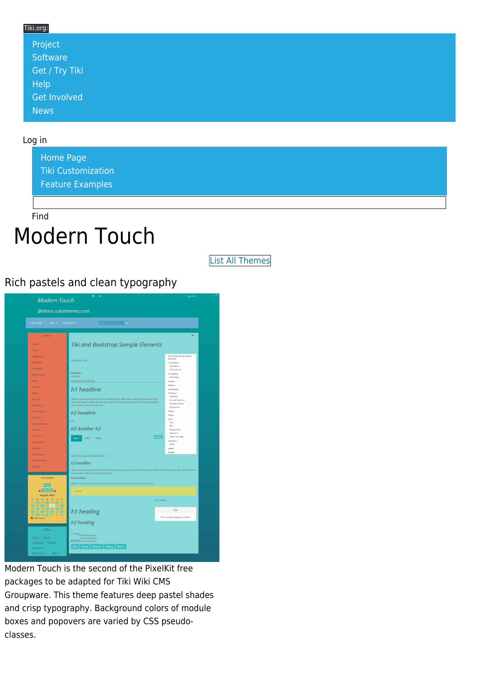#### Tiki.org: [Project](https://tiki.org/Project Introduction) **[Software](https://tiki.org/Software Overview and Model)** [Get / Try Tiki](https://tiki.org/Get Tiki - Try Tiki) [Help](https://tiki.org/Get Help) [Get Involved](https://tiki.org/Get Involved)

#### Log in

[News](https://tiki.org/News)

[Home Page](https://themes.tiki.org/Themes) [Tiki Customization](https://themes.tiki.org/Tiki-Customization) [Feature Examples](#page--1-0)

Find

# Modern Touch

[List All Themes](https://themes.tiki.org/marketplace%20themes)

#### Rich pastels and clean typography

| @demo.zukathemes.com<br>Find the contract of Q<br>Home Page * Blog * Gallery One *                                                                                                                                                                                                                                           |                                                                                                                                 |                                                                |
|------------------------------------------------------------------------------------------------------------------------------------------------------------------------------------------------------------------------------------------------------------------------------------------------------------------------------|---------------------------------------------------------------------------------------------------------------------------------|----------------------------------------------------------------|
|                                                                                                                                                                                                                                                                                                                              |                                                                                                                                 |                                                                |
| Home<br><b>Search</b>                                                                                                                                                                                                                                                                                                        | <b>Tiki and Bootstrap Sample Elements</b>                                                                                       |                                                                |
| Categories<br>Calendar                                                                                                                                                                                                                                                                                                       | Horizontal rule=                                                                                                                | Tiki and Bootstrap Sample<br>Elements<br>ht headline           |
| TimeSheet<br>My Account -                                                                                                                                                                                                                                                                                                    | bold text<br>italic text                                                                                                        | h2 headline<br>h2 Another h2<br>h1 heading                     |
| Wiki -<br>Articles -                                                                                                                                                                                                                                                                                                         | Displayed with wikitags                                                                                                         | h <sub>2</sub> heading<br>Navbar<br>Buttons                    |
| Blogs -<br>Forums -                                                                                                                                                                                                                                                                                                          | h1 headline<br>Here is some dummy text. Here is some dummy link. Here is another link: Bootstrap                                | Typography<br>Heading 1<br>Heading 2                           |
| Directory -                                                                                                                                                                                                                                                                                                                  | carousel. Here is some dummy text. Here is some dummy text. Here is some dummy<br>text. Here is some dummy text.                | Example body text<br>Emphasis classes<br>Blockquates<br>Tables |
| File Galleries -<br>Quizzes -                                                                                                                                                                                                                                                                                                | h <sub>2</sub> headline<br>$[+]$                                                                                                | Forms<br>Mayo<br>Tabs                                          |
| Spreadsheets -<br>Invoice -                                                                                                                                                                                                                                                                                                  | h <sub>2</sub> Another h <sub>2</sub>                                                                                           | Pills<br><b>Readcrumbs</b><br>Pagination                       |
| Trackers -<br>Accounting -<br>Surveys -                                                                                                                                                                                                                                                                                      | No Tabs<br>Title 1<br>Title 2<br>Title3                                                                                         | Pspan class=ager<br>Indicators<br>Alerts<br>Labels             |
| Newsletters -                                                                                                                                                                                                                                                                                                                | This is the content of the first tab                                                                                            | Badges                                                         |
| Kaltura Video -<br>Settings -                                                                                                                                                                                                                                                                                                | h3 headline<br>Here is some dummy text. Here is some dummy text. Here is some dummy text. Here is some dummy text. Here is some |                                                                |
| CALENDAR                                                                                                                                                                                                                                                                                                                     | dummy text. Here is some dummy text.<br>h4 headline                                                                             |                                                                |
| Today<br>$\leftarrow$ $\blacksquare$ $\blacksquare$                                                                                                                                                                                                                                                                          | Here is some dummy text. Here is some dummy text. Here is some dummy text.<br>A ^box^                                           |                                                                |
| August 2016<br>Mo Tu We Th Fr<br>Su<br>x <sub>0</sub><br>01 02 03 04 05 06<br>31                                                                                                                                                                                                                                             | Box plugin:                                                                                                                     |                                                                |
| $\begin{array}{ c c c c c c c c c } \hline \rule{0pt}{2.5ex} & \text{O7} & \text{O8} & \text{O9} & \text{10} & \text{11} & \text{12} & \text{13} \\ \hline \rule{0pt}{2.5ex} & 14 & 15 & 16 & 17 & 18 & 19 & 20 \\ \text{21} & 22 & 23 & 24 & 25 & 26 & 27 \\ \text{22} & 23 & 30 & 31 & 01 & 02 & 03 \\ \hline \end{array}$ | h1 heading                                                                                                                      | Title                                                          |
| O Add event                                                                                                                                                                                                                                                                                                                  | h <sub>2</sub> heading                                                                                                          | This is a box plugin's content.                                |
| <b>MENU</b>                                                                                                                                                                                                                                                                                                                  | A chang the first footnote.                                                                                                     |                                                                |
| Home<br>Search                                                                                                                                                                                                                                                                                                               | a second footnote.<br>h3 hithe third footnote.                                                                                  |                                                                |

Modern Touch is the second of the PixelKit free packages to be adapted for Tiki Wiki CMS Groupware. This theme features deep pastel shades and crisp typography. Background colors of module boxes and popovers are varied by CSS pseudoclasses.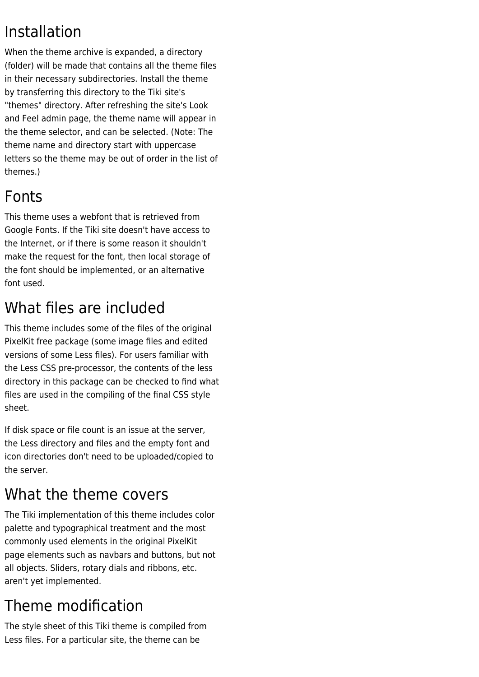#### Installation

When the theme archive is expanded, a directory (folder) will be made that contains all the theme files in their necessary subdirectories. Install the theme by transferring this directory to the Tiki site's "themes" directory. After refreshing the site's Look and Feel admin page, the theme name will appear in the theme selector, and can be selected. (Note: The theme name and directory start with uppercase letters so the theme may be out of order in the list of themes.)

#### Fonts

This theme uses a webfont that is retrieved from Google Fonts. If the Tiki site doesn't have access to the Internet, or if there is some reason it shouldn't make the request for the font, then local storage of the font should be implemented, or an alternative font used.

# What files are included

This theme includes some of the files of the original PixelKit free package (some image files and edited versions of some Less files). For users familiar with the Less CSS pre-processor, the contents of the less directory in this package can be checked to find what files are used in the compiling of the final CSS style sheet.

If disk space or file count is an issue at the server, the Less directory and files and the empty font and icon directories don't need to be uploaded/copied to the server.

## What the theme covers

The Tiki implementation of this theme includes color palette and typographical treatment and the most commonly used elements in the original PixelKit page elements such as navbars and buttons, but not all objects. Sliders, rotary dials and ribbons, etc. aren't yet implemented.

## Theme modification

The style sheet of this Tiki theme is compiled from Less files. For a particular site, the theme can be